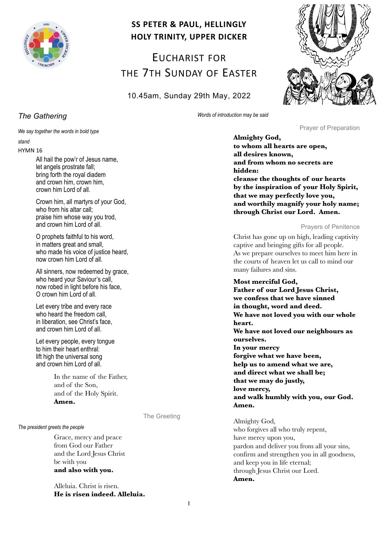

# **SS PETER & PAUL, HELLINGLY HOLY TRINITY, UPPER DICKER**

EUCHARIST FOR THE 7TH SUNDAY OF EASTER

10.45am, Sunday 29th May, 2022



*The Gathering*

*We say together the words in bold type*

# *stand*

HYMN 16

All hail the pow'r of Jesus name, let angels prostrate fall; bring forth the royal diadem and crown him, crown him, crown him Lord of all.

Crown him, all martyrs of your God, who from his altar call; praise him whose way you trod, and crown him Lord of all.

O prophets faithful to his word, in matters great and small, who made his voice of justice heard, now crown him Lord of all.

All sinners, now redeemed by grace, who heard your Saviour's call, now robed in light before his face, O crown him Lord of all.

Let every tribe and every race who heard the freedom call, in liberation, see Christ's face, and crown him Lord of all.

Let every people, every tongue to him their heart enthral: lift high the universal song and crown him Lord of all.

> In the name of the Father, and of the Son, and of the Holy Spirit. **Amen.**

*The president greets the people*

Grace, mercy and peace from God our Father and the Lord Jesus Christ be with you **and also with you.**

Alleluia. Christ is risen. **He is risen indeed. Alleluia.** *Words of introduction may be said*

Prayer of Preparation

**Almighty God, to whom all hearts are open, all desires known, and from whom no secrets are hidden: cleanse the thoughts of our hearts by the inspiration of your Holy Spirit, that we may perfectly love you, and worthily magnify your holy name; through Christ our Lord. Amen.**

# Prayers of Penitence

Christ has gone up on high, leading captivity captive and bringing gifts for all people. As we prepare ourselves to meet him here in the courts of heaven let us call to mind our many failures and sins.

# **Most merciful God,**

**Father of our Lord Jesus Christ, we confess that we have sinned in thought, word and deed. We have not loved you with our whole heart. We have not loved our neighbours as ourselves. In your mercy forgive what we have been, help us to amend what we are, and direct what we shall be; that we may do justly, love mercy, and walk humbly with you, our God. Amen.**

Almighty God, who forgives all who truly repent, have mercy upon you, pardon and deliver you from all your sins, confirm and strengthen you in all goodness, and keep you in life eternal; through Jesus Christ our Lord. **Amen.**

The Greeting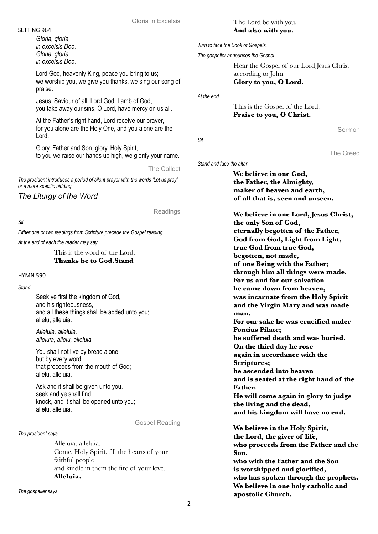### Gloria in Excelsis

### SETTING 964

*Gloria, gloria, in excelsis Deo. Gloria, gloria, in excelsis Deo.*

Lord God, heavenly King, peace you bring to us; we worship you, we give you thanks, we sing our song of praise.

Jesus, Saviour of all, Lord God, Lamb of God, you take away our sins, O Lord, have mercy on us all.

At the Father's right hand, Lord receive our prayer, for you alone are the Holy One, and you alone are the Lord.

Glory, Father and Son, glory, Holy Spirit, to you we raise our hands up high, we glorify your name.

The Collect

*The president introduces a period of silent prayer with the words 'Let us pray' or a more specific bidding.*

*The Liturgy of the Word*

Readings

*Sit*

*Either one or two readings from Scripture precede the Gospel reading.*

*At the end of each the reader may say*

This is the word of the Lord. **Thanks be to God.Stand**

HYMN 590

*Stand*

Seek ye first the kingdom of God, and his righteousness, and all these things shall be added unto you; allelu, alleluia.

*Alleluia, alleluia, alleluia, allelu, alleluia.*

You shall not live by bread alone. but by every word that proceeds from the mouth of God; allelu, alleluia.

Ask and it shall be given unto you, seek and ye shall find; knock, and it shall be opened unto you; allelu, alleluia.

Gospel Reading

*The president says*

Alleluia, alleluia. Come, Holy Spirit, fill the hearts of your faithful people and kindle in them the fire of your love. **Alleluia.**

*The gospeller says*

# The Lord be with you. **And also with you.**

*Turn to face the Book of Gospels.* 

*The gospeller announces the Gospel*

Hear the Gospel of our Lord Jesus Christ according to John. **Glory to you, O Lord.**

*At the end*

This is the Gospel of the Lord. **Praise to you, O Christ.**

Sermon

The Creed

*Sit*

*Stand and face the altar*

# **We believe in one God, the Father, the Almighty, maker of heaven and earth, of all that is, seen and unseen.**

**We believe in one Lord, Jesus Christ, the only Son of God, eternally begotten of the Father, God from God, Light from Light, true God from true God, begotten, not made, of one Being with the Father; through him all things were made. For us and for our salvation he came down from heaven, was incarnate from the Holy Spirit and the Virgin Mary and was made man. For our sake he was crucified under Pontius Pilate; he suffered death and was buried. On the third day he rose again in accordance with the Scriptures; he ascended into heaven and is seated at the right hand of the Father. He will come again in glory to judge the living and the dead, and his kingdom will have no end.**

**We believe in the Holy Spirit, the Lord, the giver of life, who proceeds from the Father and the Son, who with the Father and the Son is worshipped and glorified, who has spoken through the prophets. We believe in one holy catholic and apostolic Church.**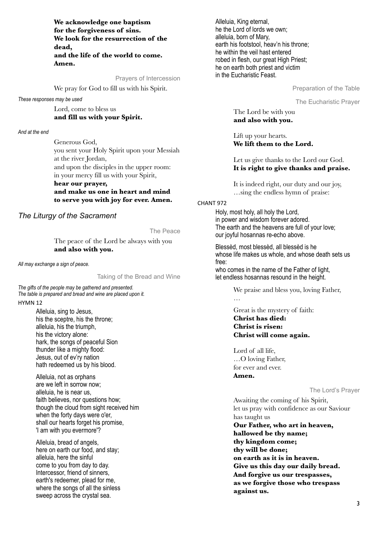**We acknowledge one baptism for the forgiveness of sins. We look for the resurrection of the dead, and the life of the world to come. Amen.**

Prayers of Intercession

We pray for God to fill us with his Spirit.

#### *These responses may be used*

Lord, come to bless us **and fill us with your Spirit.** 

### *And at the end*

Generous God, you sent your Holy Spirit upon your Messiah at the river Jordan, and upon the disciples in the upper room: in your mercy fill us with your Spirit, **hear our prayer,**

# **and make us one in heart and mind to serve you with joy for ever. Amen.**

# *The Liturgy of the Sacrament*

The Peace

The peace of the Lord be always with you **and also with you.**

*All may exchange a sign of peace.*

Taking of the Bread and Wine

*The gifts of the people may be gathered and presented. The table is prepared and bread and wine are placed upon it.*

# HYMN 12

Alleluia, sing to Jesus, his the sceptre, his the throne; alleluia, his the triumph, his the victory alone: hark, the songs of peaceful Sion thunder like a mighty flood: Jesus, out of ev'ry nation hath redeemed us by his blood.

Alleluia, not as orphans are we left in sorrow now; alleluia, he is near us, faith believes, nor questions how; though the cloud from sight received him when the forty days were o'er, shall our hearts forget his promise, 'I am with you evermore'?

Alleluia, bread of angels, here on earth our food, and stay; alleluia, here the sinful come to you from day to day. Intercessor, friend of sinners, earth's redeemer, plead for me, where the songs of all the sinless sweep across the crystal sea.

Alleluia, King eternal, he the Lord of lords we own; alleluia, born of Mary, earth his footstool, heav'n his throne; he within the veil hast entered robed in flesh, our great High Priest; he on earth both priest and victim in the Eucharistic Feast.

Preparation of the Table

The Eucharistic Prayer

The Lord be with you **and also with you.**

Lift up your hearts. **We lift them to the Lord.**

Let us give thanks to the Lord our God. **It is right to give thanks and praise.**

It is indeed right, our duty and our joy, …sing the endless hymn of praise:

### CHANT 972

Holy, most holy, all holy the Lord, in power and wisdom forever adored. The earth and the heavens are full of your love; our joyful hosannas re-echo above.

Blessèd, most blessèd, all blessèd is he whose life makes us whole, and whose death sets us free:

who comes in the name of the Father of light, let endless hosannas resound in the height.

We praise and bless you, loving Father,

Great is the mystery of faith: **Christ has died: Christ is risen: Christ will come again.**

Lord of all life, …O loving Father, for ever and ever. **Amen.**

…

The Lord's Prayer

Awaiting the coming of his Spirit, let us pray with confidence as our Saviour has taught us **Our Father, who art in heaven, hallowed be thy name; thy kingdom come; thy will be done; on earth as it is in heaven. Give us this day our daily bread. And forgive us our trespasses, as we forgive those who trespass against us.**